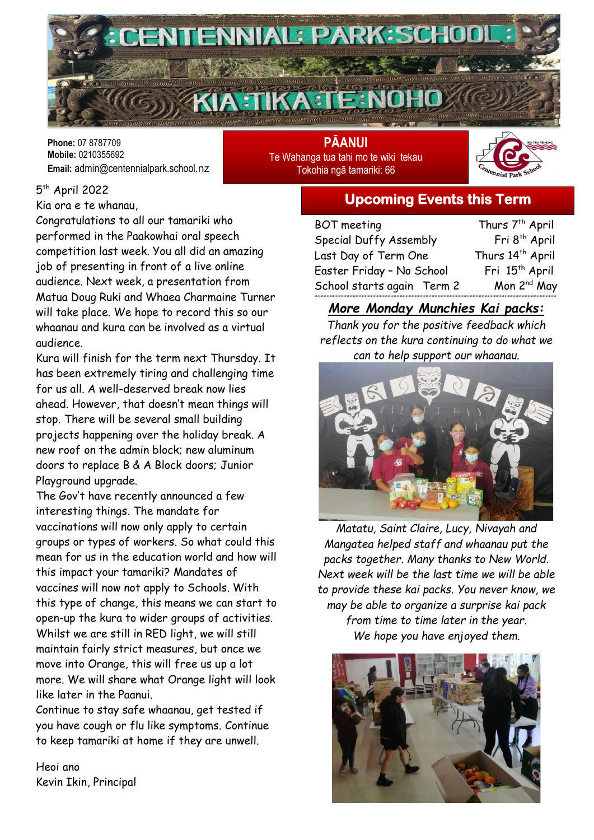

**Phone:** 07 8787709 **Mobile:** 0210355692 **Email:** admin@centennialpark.school.nz

**PĀANUI** Te Wahanga tua tahi mo te wiki tekau Tokohia ngā tamariki: 66



5<sup>th</sup> April 2022

Kia ora e te whanau,

Congratulations to all our tamariki who performed in the Paakowhai oral speech competition last week. You all did an amazing job of presenting in front of a live online audience. Next week, a presentation from Matua Doug Ruki and Whaea Charmaine Turner will take place. We hope to record this so our whaanau and kura can be involved as a virtual audience.

Kura will finish for the term next Thursday. It has been extremely tiring and challenging time for us all. A well-deserved break now lies ahead. However, that doesn't mean things will stop. There will be several small building projects happening over the holiday break. A new roof on the admin block; new aluminum doors to replace B & A Block doors; Junior Playground upgrade.

The Gov't have recently announced a few interesting things. The mandate for vaccinations will now only apply to certain groups or types of workers. So what could this mean for us in the education world and how will this impact your tamariki? Mandates of vaccines will now not apply to Schools. With this type of change, this means we can start to open-up the kura to wider groups of activities. Whilst we are still in RED light, we will still maintain fairly strict measures, but once we move into Orange, this will free us up a lot more. We will share what Orange light will look like later in the Paanui.

Continue to stay safe whaanau, get tested if you have cough or flu like symptoms. Continue to keep tamariki at home if they are unwell.

Heoi ano Kevin Ikin, Principal

# **Upcoming Events this Term**

| BOT meeting                | Thurs 7 <sup>th</sup> April |
|----------------------------|-----------------------------|
| Special Duffy Assembly     | Fri 8 <sup>th</sup> April   |
| Last Day of Term One       | Thurs 14th April            |
| Easter Friday - No School  | Fri 15 <sup>th</sup> April  |
| School starts again Term 2 | Mon 2 <sup>nd</sup> May     |
|                            |                             |

### *More Monday Munchies Kai packs:*

*Thank you for the positive feedback which reflects on the kura continuing to do what we can to help support our whaanau.* 



*Matatu, Saint Claire, Lucy, Nivayah and Mangatea helped staff and whaanau put the packs together. Many thanks to New World. Next week will be the last time we will be able to provide these kai packs. You never know, we may be able to organize a surprise kai pack from time to time later in the year. We hope you have enjoyed them.*

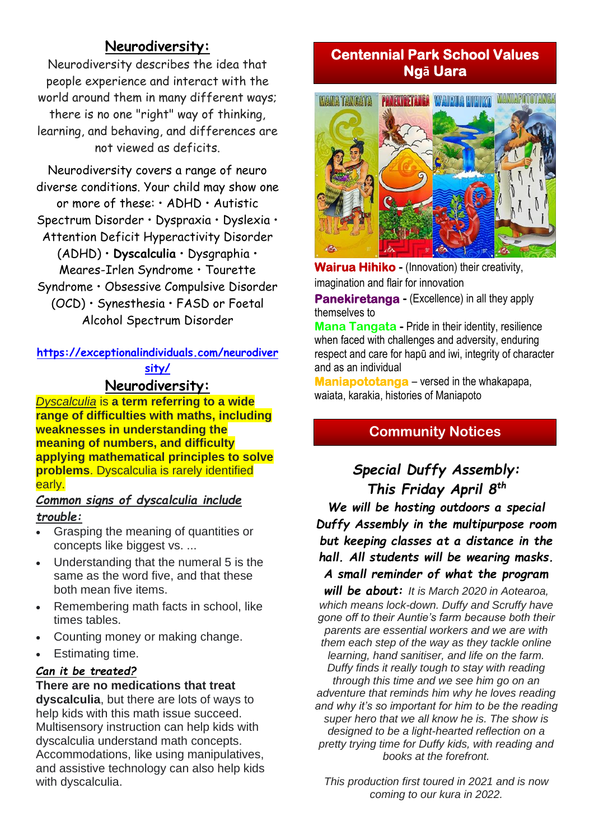# **Neurodiversity:**

Neurodiversity describes the idea that people experience and interact with the world around them in many different ways; there is no one "right" way of thinking, learning, and behaving, and differences are not viewed as deficits.

Neurodiversity covers a range of neuro diverse conditions. Your child may show one or more of these: • ADHD • Autistic Spectrum Disorder • Dyspraxia • Dyslexia • Attention Deficit Hyperactivity Disorder (ADHD) • **Dyscalculia** • Dysgraphia • Meares-Irlen Syndrome • Tourette Syndrome • Obsessive Compulsive Disorder (OCD) • Synesthesia • FASD or Foetal Alcohol Spectrum Disorder

**[https://exceptionalindividuals.com/neurodiver](https://exceptionalindividuals.com/neurodiversity/) [sity/](https://exceptionalindividuals.com/neurodiversity/)**

#### **Neurodiversity:**

*Dyscalculia* is **a term referring to a wide range of difficulties with maths, including weaknesses in understanding the meaning of numbers, and difficulty applying mathematical principles to solve problems**. Dyscalculia is rarely identified early.

#### *Common signs of dyscalculia include trouble:*

- Grasping the meaning of quantities or concepts like biggest vs. ...
- Understanding that the numeral 5 is the same as the word five, and that these both mean five items.
- Remembering math facts in school, like times tables.
- Counting money or making change.
- Estimating time.

#### *Can it be treated?*

#### **There are no medications that treat**

**dyscalculia**, but there are lots of ways to help kids with this math issue succeed. Multisensory instruction can help kids with dyscalculia understand math concepts. Accommodations, like using manipulatives, and assistive technology can also help kids with dyscalculia.

# **Centennial Park School Values Ngā Uara**



**Wairua Hihiko -** (Innovation) their creativity, imagination and flair for innovation

**Panekiretanga -** (Excellence) in all they apply themselves to

**Mana Tangata -** Pride in their identity, resilience when faced with challenges and adversity, enduring respect and care for hapū and iwi, integrity of character and as an individual

**Maniapototanga** – versed in the whakapapa, waiata, karakia, histories of Maniapoto

# **Community Notices**

# *Special Duffy Assembly: This Friday April 8th We will be hosting outdoors a special Duffy Assembly in the multipurpose room*

*but keeping classes at a distance in the hall. All students will be wearing masks. A small reminder of what the program* 

*will be about: It is March 2020 in Aotearoa, which means lock-down. Duffy and Scruffy have gone off to their Auntie's farm because both their parents are essential workers and we are with them each step of the way as they tackle online learning, hand sanitiser, and life on the farm. Duffy finds it really tough to stay with reading through this time and we see him go on an adventure that reminds him why he loves reading and why it's so important for him to be the reading super hero that we all know he is. The show is designed to be a light-hearted reflection on a pretty trying time for Duffy kids, with reading and books at the forefront.*

*This production first toured in 2021 and is now coming to our kura in 2022.*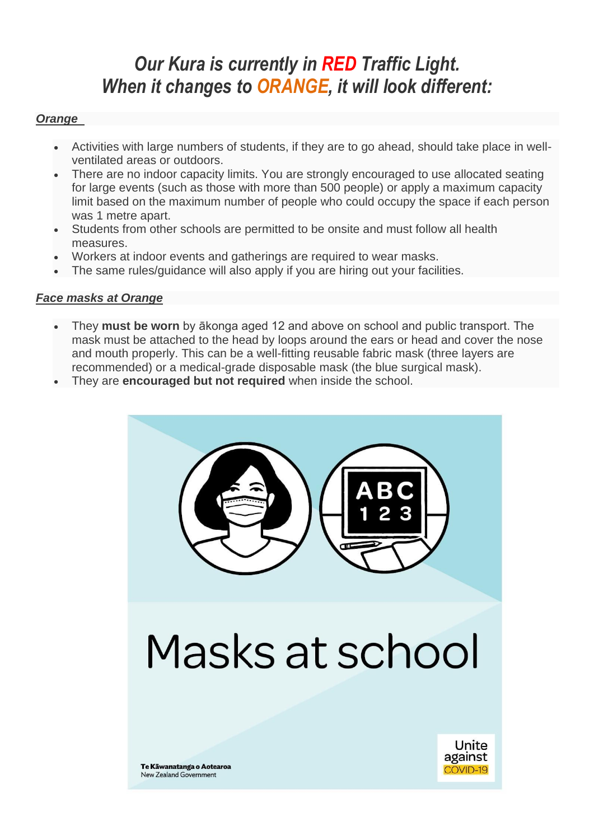# *Our Kura is currently in RED Traffic Light. When it changes to ORANGE, it will look different:*

#### *Orange*

- Activities with large numbers of students, if they are to go ahead, should take place in wellventilated areas or outdoors.
- There are no indoor capacity limits. You are strongly encouraged to use allocated seating for large events (such as those with more than 500 people) or apply a maximum capacity limit based on the maximum number of people who could occupy the space if each person was 1 metre apart.
- Students from other schools are permitted to be onsite and must follow all health measures.
- Workers at indoor events and gatherings are required to wear masks.
- The same rules/guidance will also apply if you are hiring out your facilities.

#### *Face masks at Orange*

- They **must be worn** by ākonga aged 12 and above on school and public transport. The mask must be attached to the head by loops around the ears or head and cover the nose and mouth properly. This can be a well-fitting reusable fabric mask (three layers are recommended) or a medical-grade disposable mask (the blue surgical mask).
- They are **encouraged but not required** when inside the school.



# Masks at school



Te Kāwanatanga o Aotearoa **New Zealand Government**